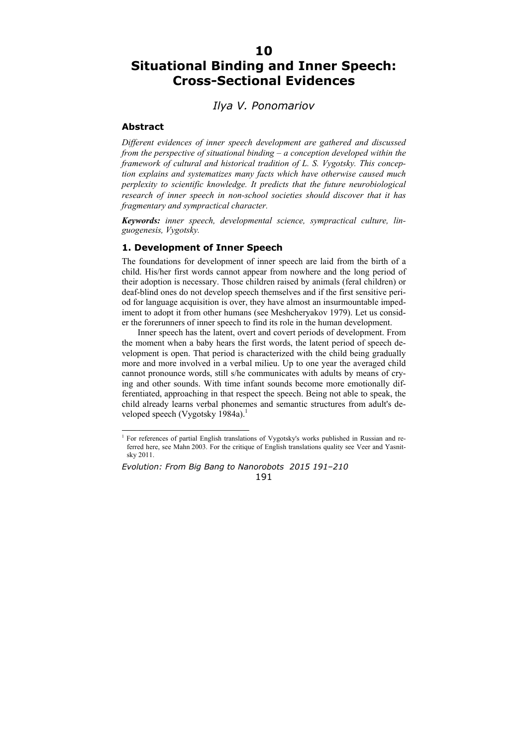# **10**

# **Situational Binding and Inner Speech: Cross-Sectional Evidences**

# *Ilya V. Ponomariov*

### **Abstract**

 $\overline{a}$ 

*Different evidences of inner speech development are gathered and discussed from the perspective of situational binding – a conception developed within the framework of cultural and historical tradition of L. S. Vygotsky. This conception explains and systematizes many facts which have otherwise caused much perplexity to scientific knowledge. It predicts that the future neurobiological research of inner speech in non-school societies should discover that it has fragmentary and sympractical character.* 

*Keywords: inner speech, developmental science, sympractical culture, linguogenesis, Vygotsky.* 

## **1. Development of Inner Speech**

The foundations for development of inner speech are laid from the birth of a child. His/her first words cannot appear from nowhere and the long period of their adoption is necessary. Those children raised by animals (feral children) or deaf-blind ones do not develop speech themselves and if the first sensitive period for language acquisition is over, they have almost an insurmountable impediment to adopt it from other humans (see Meshcheryakov 1979). Let us consider the forerunners of inner speech to find its role in the human development.

Inner speech has the latent, overt and covert periods of development. From the moment when a baby hears the first words, the latent period of speech development is open. That period is characterized with the child being gradually more and more involved in a verbal milieu. Up to one year the averaged child cannot pronounce words, still s/he communicates with adults by means of crying and other sounds. With time infant sounds become more emotionally differentiated, approaching in that respect the speech. Being not able to speak, the child already learns verbal phonemes and semantic structures from adult's developed speech (Vygotsky 1984a).<sup>1</sup>

*Evolution: From Big Bang to Nanorobots 2015 191–210*  191

<sup>&</sup>lt;sup>1</sup> For references of partial English translations of Vygotsky's works published in Russian and referred here, see Mahn 2003. For the critique of English translations quality see Veer and Yasnitsky 2011.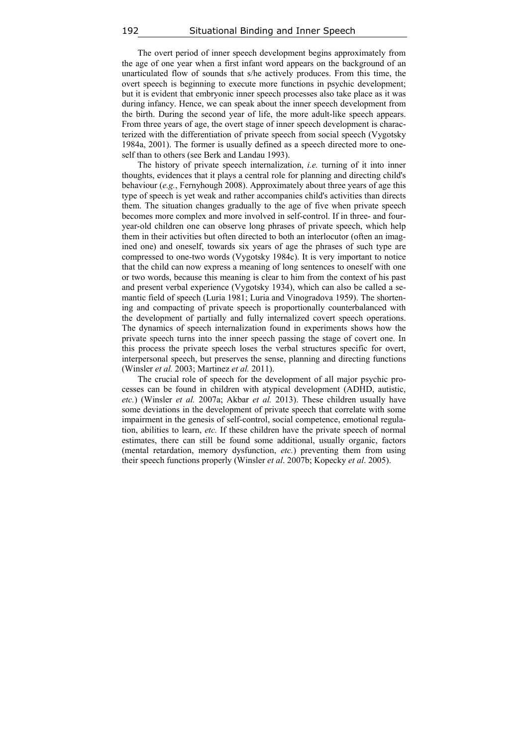The overt period of inner speech development begins approximately from the age of one year when a first infant word appears on the background of an unarticulated flow of sounds that s/he actively produces. From this time, the overt speech is beginning to execute more functions in psychic development; but it is evident that embryonic inner speech processes also take place as it was during infancy. Hence, we can speak about the inner speech development from the birth. During the second year of life, the more adult-like speech appears. From three years of age, the overt stage of inner speech development is characterized with the differentiation of private speech from social speech (Vygotsky 1984a, 2001). The former is usually defined as a speech directed more to oneself than to others (see Berk and Landau 1993).

The history of private speech internalization, *i.e.* turning of it into inner thoughts, evidences that it plays a central role for planning and directing child's behaviour (*e.g.*, Fernyhough 2008). Approximately about three years of age this type of speech is yet weak and rather accompanies child's activities than directs them. The situation changes gradually to the age of five when private speech becomes more complex and more involved in self-control. If in three- and fouryear-old children one can observe long phrases of private speech, which help them in their activities but often directed to both an interlocutor (often an imagined one) and oneself, towards six years of age the phrases of such type are compressed to one-two words (Vygotsky 1984c). It is very important to notice that the child can now express a meaning of long sentences to oneself with one or two words, because this meaning is clear to him from the context of his past and present verbal experience (Vygotsky 1934), which can also be called a semantic field of speech (Luria 1981; Luria and Vinogradova 1959). The shortening and compacting of private speech is proportionally counterbalanced with the development of partially and fully internalized covert speech operations. The dynamics of speech internalization found in experiments shows how the private speech turns into the inner speech passing the stage of covert one. In this process the private speech loses the verbal structures specific for overt, interpersonal speech, but preserves the sense, planning and directing functions (Winsler *et al.* 2003; Martinez *et al.* 2011).

The crucial role of speech for the development of all major psychic processes can be found in children with atypical development (ADHD, autistic, *etc.*) (Winsler *et al.* 2007a; Akbar *et al.* 2013). These children usually have some deviations in the development of private speech that correlate with some impairment in the genesis of self-control, social competence, emotional regulation, abilities to learn, *etc.* If these children have the private speech of normal estimates, there can still be found some additional, usually organic, factors (mental retardation, memory dysfunction, *etc.*) preventing them from using their speech functions properly (Winsler *et al*. 2007b; Kopecky *et al*. 2005).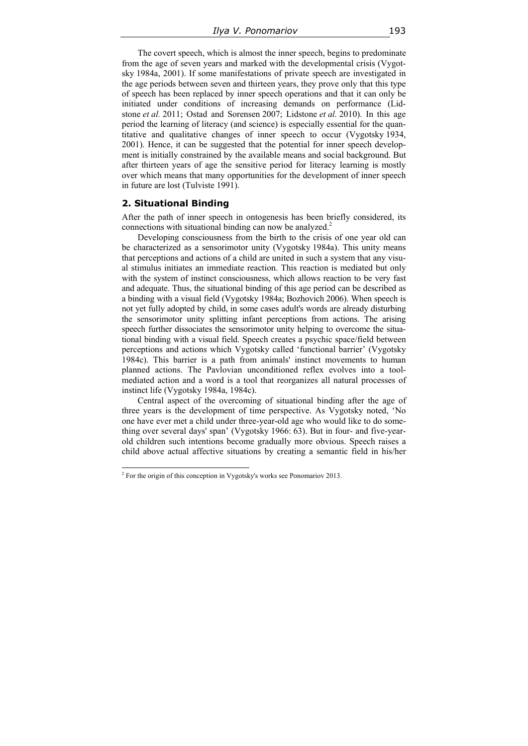The covert speech, which is almost the inner speech, begins to predominate from the age of seven years and marked with the developmental crisis (Vygotsky 1984a, 2001). If some manifestations of private speech are investigated in the age periods between seven and thirteen years, they prove only that this type of speech has been replaced by inner speech operations and that it can only be initiated under conditions of increasing demands on performance (Lidstone *et al.* 2011; Ostad and Sorensen 2007; Lidstone *et al.* 2010). In this age period the learning of literacy (and science) is especially essential for the quantitative and qualitative changes of inner speech to occur (Vygotsky 1934, 2001). Hence, it can be suggested that the potential for inner speech development is initially constrained by the available means and social background. But after thirteen years of age the sensitive period for literacy learning is mostly over which means that many opportunities for the development of inner speech in future are lost (Tulviste 1991).

#### **2. Situational Binding**

After the path of inner speech in ontogenesis has been briefly considered, its connections with situational binding can now be analyzed.<sup>2</sup>

Developing consciousness from the birth to the crisis of one year old can be characterized as a sensorimotor unity (Vygotsky 1984a). This unity means that perceptions and actions of a child are united in such a system that any visual stimulus initiates an immediate reaction. This reaction is mediated but only with the system of instinct consciousness, which allows reaction to be very fast and adequate. Thus, the situational binding of this age period can be described as a binding with a visual field (Vygotsky 1984a; Bozhovich 2006). When speech is not yet fully adopted by child, in some cases adult's words are already disturbing the sensorimotor unity splitting infant perceptions from actions. The arising speech further dissociates the sensorimotor unity helping to overcome the situational binding with a visual field. Speech creates a psychic space/field between perceptions and actions which Vygotsky called 'functional barrier' (Vygotsky 1984c). This barrier is a path from animals' instinct movements to human planned actions. The Pavlovian unconditioned reflex evolves into a toolmediated action and a word is a tool that reorganizes all natural processes of instinct life (Vygotsky 1984a, 1984c).

Central aspect of the overcoming of situational binding after the age of three years is the development of time perspective. As Vygotsky noted, 'No one have ever met a child under three-year-old age who would like to do something over several days' span' (Vygotsky 1966: 63). But in four- and five-yearold children such intentions become gradually more obvious. Speech raises a child above actual affective situations by creating a semantic field in his/her

 2 For the origin of this conception in Vygotsky's works see Ponomariov 2013.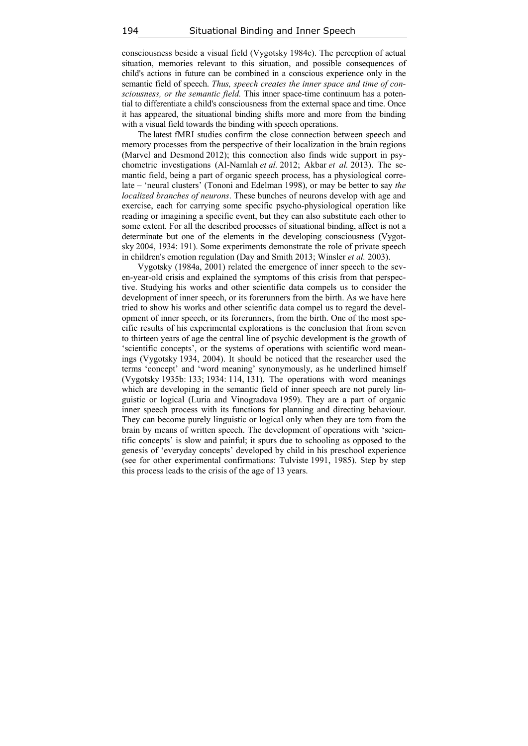consciousness beside a visual field (Vygotsky 1984c). The perception of actual situation, memories relevant to this situation, and possible consequences of child's actions in future can be combined in a conscious experience only in the semantic field of speech. *Thus, speech creates the inner space and time of consciousness, or the semantic field.* This inner space-time continuum has a potential to differentiate a child's consciousness from the external space and time. Once it has appeared, the situational binding shifts more and more from the binding with a visual field towards the binding with speech operations.

The latest fMRI studies confirm the close connection between speech and memory processes from the perspective of their localization in the brain regions (Marvel and Desmond 2012); this connection also finds wide support in psychometric investigations (Al-Namlah *et al.* 2012; Akbar *et al.* 2013). The semantic field, being a part of organic speech process, has a physiological correlate – 'neural clusters' (Tononi and Edelman 1998), or may be better to say *the localized branches of neurons*. These bunches of neurons develop with age and exercise, each for carrying some specific psycho-physiological operation like reading or imagining a specific event, but they can also substitute each other to some extent. For all the described processes of situational binding, affect is not a determinate but one of the elements in the developing consciousness (Vygotsky 2004, 1934: 191). Some experiments demonstrate the role of private speech in children's emotion regulation (Day and Smith 2013; Winsler *et al.* 2003).

Vygotsky (1984a, 2001) related the emergence of inner speech to the seven-year-old crisis and explained the symptoms of this crisis from that perspective. Studying his works and other scientific data compels us to consider the development of inner speech, or its forerunners from the birth. As we have here tried to show his works and other scientific data compel us to regard the development of inner speech, or its forerunners, from the birth. One of the most specific results of his experimental explorations is the conclusion that from seven to thirteen years of age the central line of psychic development is the growth of 'scientific concepts', or the systems of operations with scientific word meanings (Vygotsky 1934, 2004). It should be noticed that the researcher used the terms 'concept' and 'word meaning' synonymously, as he underlined himself (Vygotsky 1935b: 133; 1934: 114, 131). The operations with word meanings which are developing in the semantic field of inner speech are not purely linguistic or logical (Luria and Vinogradova 1959). They are a part of organic inner speech process with its functions for planning and directing behaviour. They can become purely linguistic or logical only when they are torn from the brain by means of written speech. The development of operations with 'scientific concepts' is slow and painful; it spurs due to schooling as opposed to the genesis of 'everyday concepts' developed by child in his preschool experience (see for other experimental confirmations: Tulviste 1991, 1985). Step by step this process leads to the crisis of the age of 13 years.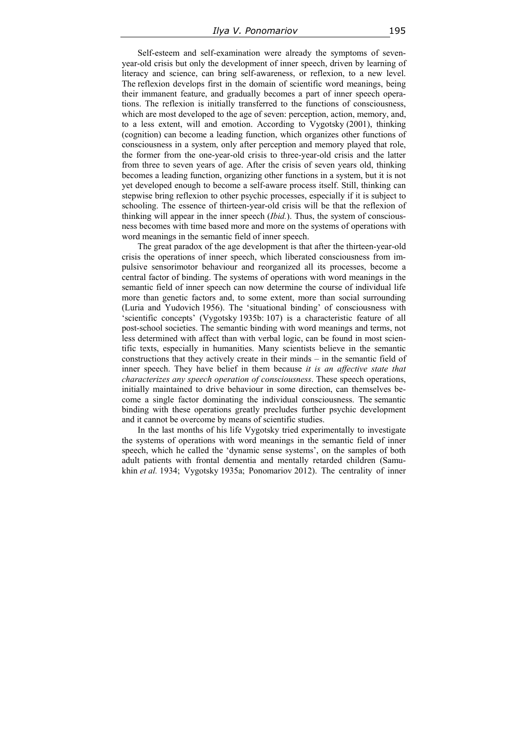Self-esteem and self-examination were already the symptoms of sevenyear-old crisis but only the development of inner speech, driven by learning of literacy and science, can bring self-awareness, or reflexion, to a new level. The reflexion develops first in the domain of scientific word meanings, being their immanent feature, and gradually becomes a part of inner speech operations. The reflexion is initially transferred to the functions of consciousness, which are most developed to the age of seven: perception, action, memory, and, to a less extent, will and emotion. According to Vygotsky (2001), thinking (cognition) can become a leading function, which organizes other functions of consciousness in a system, only after perception and memory played that role, the former from the one-year-old crisis to three-year-old crisis and the latter from three to seven years of age. After the crisis of seven years old, thinking becomes a leading function, organizing other functions in a system, but it is not yet developed enough to become a self-aware process itself. Still, thinking can stepwise bring reflexion to other psychic processes, especially if it is subject to schooling. The essence of thirteen-year-old crisis will be that the reflexion of thinking will appear in the inner speech (*Ibid.*). Thus, the system of consciousness becomes with time based more and more on the systems of operations with word meanings in the semantic field of inner speech.

The great paradox of the age development is that after the thirteen-year-old crisis the operations of inner speech, which liberated consciousness from impulsive sensorimotor behaviour and reorganized all its processes, become a central factor of binding. The systems of operations with word meanings in the semantic field of inner speech can now determine the course of individual life more than genetic factors and, to some extent, more than social surrounding (Luria and Yudovich 1956). The 'situational binding' of consciousness with 'scientific concepts' (Vygotsky 1935b: 107) is a characteristic feature of all post-school societies. The semantic binding with word meanings and terms, not less determined with affect than with verbal logic, can be found in most scientific texts, especially in humanities. Many scientists believe in the semantic constructions that they actively create in their minds – in the semantic field of inner speech. They have belief in them because *it is an affective state that characterizes any speech operation of consciousness*. These speech operations, initially maintained to drive behaviour in some direction, can themselves become a single factor dominating the individual consciousness. The semantic binding with these operations greatly precludes further psychic development and it cannot be overcome by means of scientific studies.

In the last months of his life Vygotsky tried experimentally to investigate the systems of operations with word meanings in the semantic field of inner speech, which he called the 'dynamic sense systems', on the samples of both adult patients with frontal dementia and mentally retarded children (Samukhin *et al.* 1934; Vygotsky 1935a; Ponomariov 2012). The centrality of inner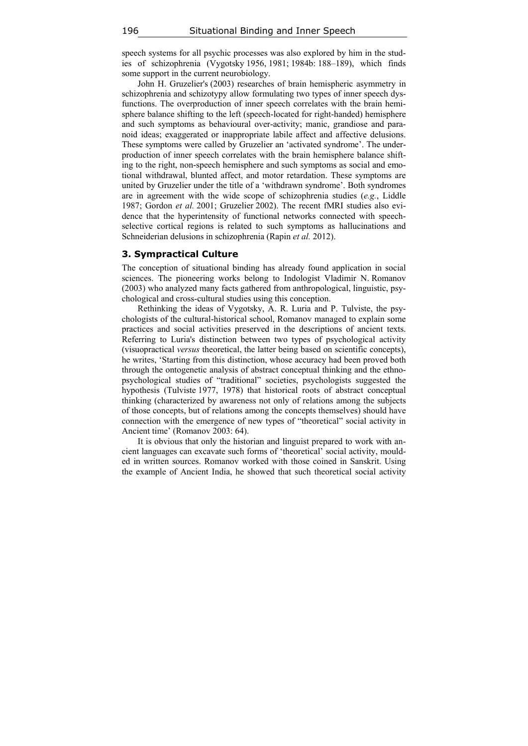speech systems for all psychic processes was also explored by him in the studies of schizophrenia (Vygotsky 1956, 1981; 1984b: 188–189), which finds some support in the current neurobiology.

John H. Gruzelier's (2003) researches of brain hemispheric asymmetry in schizophrenia and schizotypy allow formulating two types of inner speech dysfunctions. The overproduction of inner speech correlates with the brain hemisphere balance shifting to the left (speech-located for right-handed) hemisphere and such symptoms as behavioural over-activity; manic, grandiose and paranoid ideas; exaggerated or inappropriate labile affect and affective delusions. These symptoms were called by Gruzelier an 'activated syndrome'. The underproduction of inner speech correlates with the brain hemisphere balance shifting to the right, non-speech hemisphere and such symptoms as social and emotional withdrawal, blunted affect, and motor retardation. These symptoms are united by Gruzelier under the title of a 'withdrawn syndrome'. Both syndromes are in agreement with the wide scope of schizophrenia studies (*e.g.*, Liddle 1987; Gordon *et al.* 2001; Gruzelier 2002). The recent fMRI studies also evidence that the hyperintensity of functional networks connected with speechselective cortical regions is related to such symptoms as hallucinations and Schneiderian delusions in schizophrenia (Rapin *et al.* 2012).

#### **3. Sympractical Culture**

The conception of situational binding has already found application in social sciences. The pioneering works belong to Indologist Vladimir N. Romanov (2003) who analyzed many facts gathered from anthropological, linguistic, psychological and cross-cultural studies using this conception.

Rethinking the ideas of Vygotsky, A. R. Luria and P. Tulviste, the psychologists of the cultural-historical school, Romanov managed to explain some practices and social activities preserved in the descriptions of ancient texts. Referring to Luria's distinction between two types of psychological activity (visuopractical *versus* theoretical, the latter being based on scientific concepts), he writes, 'Starting from this distinction, whose accuracy had been proved both through the ontogenetic analysis of abstract conceptual thinking and the ethnopsychological studies of "traditional" societies, psychologists suggested the hypothesis (Tulviste 1977, 1978) that historical roots of abstract conceptual thinking (characterized by awareness not only of relations among the subjects of those concepts, but of relations among the concepts themselves) should have connection with the emergence of new types of "theoretical" social activity in Ancient time' (Romanov 2003: 64).

It is obvious that only the historian and linguist prepared to work with ancient languages can excavate such forms of 'theoretical' social activity, moulded in written sources. Romanov worked with those coined in Sanskrit. Using the example of Ancient India, he showed that such theoretical social activity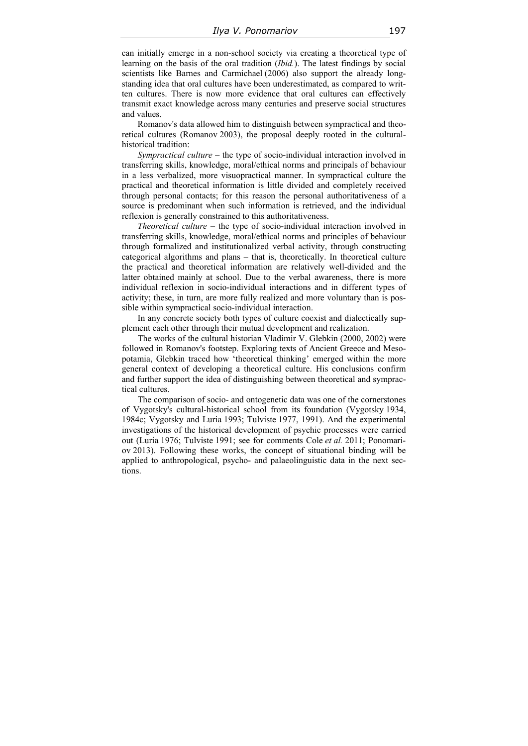can initially emerge in a non-school society via creating a theoretical type of learning on the basis of the oral tradition (*Ibid.*). The latest findings by social scientists like Barnes and Carmichael (2006) also support the already longstanding idea that oral cultures have been underestimated, as compared to written cultures. There is now more evidence that oral cultures can effectively transmit exact knowledge across many centuries and preserve social structures and values.

Romanov's data allowed him to distinguish between sympractical and theoretical cultures (Romanov 2003), the proposal deeply rooted in the culturalhistorical tradition:

*Sympractical culture* – the type of socio-individual interaction involved in transferring skills, knowledge, moral/ethical norms and principals of behaviour in a less verbalized, more visuopractical manner. In sympractical culture the practical and theoretical information is little divided and completely received through personal contacts; for this reason the personal authoritativeness of a source is predominant when such information is retrieved, and the individual reflexion is generally constrained to this authoritativeness.

*Theoretical culture* – the type of socio-individual interaction involved in transferring skills, knowledge, moral/ethical norms and principles of behaviour through formalized and institutionalized verbal activity, through constructing categorical algorithms and plans – that is, theoretically. In theoretical culture the practical and theoretical information are relatively well-divided and the latter obtained mainly at school. Due to the verbal awareness, there is more individual reflexion in socio-individual interactions and in different types of activity; these, in turn, are more fully realized and more voluntary than is possible within sympractical socio-individual interaction.

In any concrete society both types of culture coexist and dialectically supplement each other through their mutual development and realization.

The works of the cultural historian Vladimir V. Glebkin (2000, 2002) were followed in Romanov's footstep. Exploring texts of Ancient Greece and Mesopotamia, Glebkin traced how 'theoretical thinking' emerged within the more general context of developing a theoretical culture. His conclusions confirm and further support the idea of distinguishing between theoretical and sympractical cultures.

The comparison of socio- and ontogenetic data was one of the cornerstones of Vygotsky's cultural-historical school from its foundation (Vygotsky 1934, 1984c; Vygotsky and Luria 1993; Tulviste 1977, 1991). And the experimental investigations of the historical development of psychic processes were carried out (Luria 1976; Tulviste 1991; see for comments Cole *et al.* 2011; Ponomariov 2013). Following these works, the concept of situational binding will be applied to anthropological, psycho- and palaeolinguistic data in the next sections.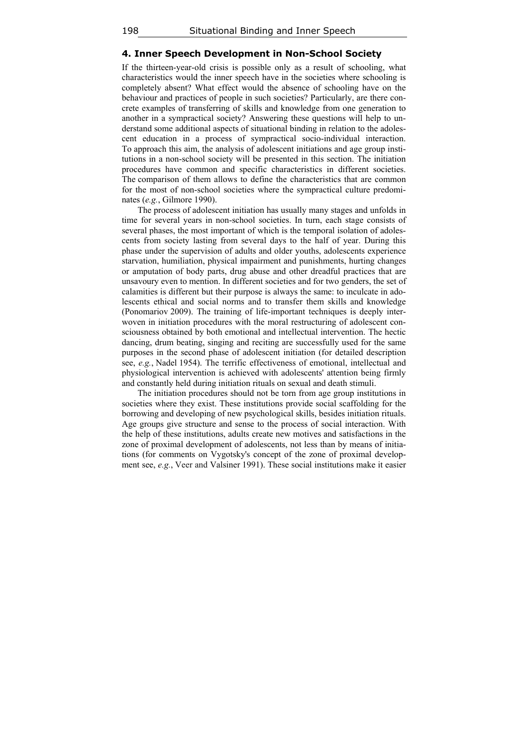## **4. Inner Speech Development in Non-School Society**

If the thirteen-year-old crisis is possible only as a result of schooling, what characteristics would the inner speech have in the societies where schooling is completely absent? What effect would the absence of schooling have on the behaviour and practices of people in such societies? Particularly, are there concrete examples of transferring of skills and knowledge from one generation to another in a sympractical society? Answering these questions will help to understand some additional aspects of situational binding in relation to the adolescent education in a process of sympractical socio-individual interaction. To approach this aim, the analysis of adolescent initiations and age group institutions in a non-school society will be presented in this section. The initiation procedures have common and specific characteristics in different societies. The comparison of them allows to define the characteristics that are common for the most of non-school societies where the sympractical culture predominates (*e.g.*, Gilmore 1990).

The process of adolescent initiation has usually many stages and unfolds in time for several years in non-school societies. In turn, each stage consists of several phases, the most important of which is the temporal isolation of adolescents from society lasting from several days to the half of year. During this phase under the supervision of adults and older youths, adolescents experience starvation, humiliation, physical impairment and punishments, hurting changes or amputation of body parts, drug abuse and other dreadful practices that are unsavoury even to mention. In different societies and for two genders, the set of calamities is different but their purpose is always the same: to inculcate in adolescents ethical and social norms and to transfer them skills and knowledge (Ponomariov 2009). The training of life-important techniques is deeply interwoven in initiation procedures with the moral restructuring of adolescent consciousness obtained by both emotional and intellectual intervention. The hectic dancing, drum beating, singing and reciting are successfully used for the same purposes in the second phase of adolescent initiation (for detailed description see, *e.g.*, Nadel 1954). The terrific effectiveness of emotional, intellectual and physiological intervention is achieved with adolescents' attention being firmly and constantly held during initiation rituals on sexual and death stimuli.

The initiation procedures should not be torn from age group institutions in societies where they exist. These institutions provide social scaffolding for the borrowing and developing of new psychological skills, besides initiation rituals. Age groups give structure and sense to the process of social interaction. With the help of these institutions, adults create new motives and satisfactions in the zone of proximal development of adolescents, not less than by means of initiations (for comments on Vygotsky's concept of the zone of proximal development see, *e.g.*, Veer and Valsiner 1991). These social institutions make it easier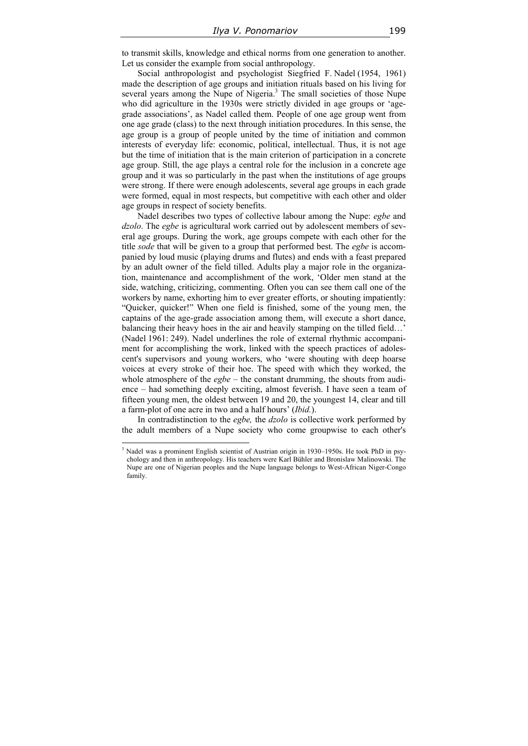to transmit skills, knowledge and ethical norms from one generation to another. Let us consider the example from social anthropology.

Social anthropologist and psychologist Siegfried F. Nadel (1954, 1961) made the description of age groups and initiation rituals based on his living for several years among the Nupe of Nigeria.<sup>3</sup> The small societies of those Nupe who did agriculture in the 1930s were strictly divided in age groups or 'agegrade associations', as Nadel called them. People of one age group went from one age grade (class) to the next through initiation procedures. In this sense, the age group is a group of people united by the time of initiation and common interests of everyday life: economic, political, intellectual. Thus, it is not age but the time of initiation that is the main criterion of participation in a concrete age group. Still, the age plays a central role for the inclusion in a concrete age group and it was so particularly in the past when the institutions of age groups were strong. If there were enough adolescents, several age groups in each grade were formed, equal in most respects, but competitive with each other and older age groups in respect of society benefits.

Nadel describes two types of collective labour among the Nupe: *egbe* and *dzolo*. The *egbe* is agricultural work carried out by adolescent members of several age groups. During the work, age groups compete with each other for the title *sode* that will be given to a group that performed best. The *egbe* is accompanied by loud music (playing drums and flutes) and ends with a feast prepared by an adult owner of the field tilled. Adults play a major role in the organization, maintenance and accomplishment of the work, 'Older men stand at the side, watching, criticizing, commenting. Often you can see them call one of the workers by name, exhorting him to ever greater efforts, or shouting impatiently: "Quicker, quicker!" When one field is finished, some of the young men, the captains of the age-grade association among them, will execute a short dance, balancing their heavy hoes in the air and heavily stamping on the tilled field... (Nadel 1961: 249). Nadel underlines the role of external rhythmic accompaniment for accomplishing the work, linked with the speech practices of adolescent's supervisors and young workers, who 'were shouting with deep hoarse voices at every stroke of their hoe. The speed with which they worked, the whole atmosphere of the *egbe* – the constant drumming, the shouts from audience – had something deeply exciting, almost feverish. I have seen a team of fifteen young men, the oldest between 19 and 20, the youngest 14, clear and till a farm-plot of one acre in two and a half hours' (*Ibid.*).

In contradistinction to the *egbe,* the *dzolo* is collective work performed by the adult members of a Nupe society who come groupwise to each other's

 $\overline{a}$ 

<sup>&</sup>lt;sup>3</sup> Nadel was a prominent English scientist of Austrian origin in 1930–1950s. He took PhD in psychology and then in anthropology. His teachers were Karl Bühler and Bronislaw Malinowski. The Nupe are one of Nigerian peoples and the Nupe language belongs to West-African Niger-Congo family.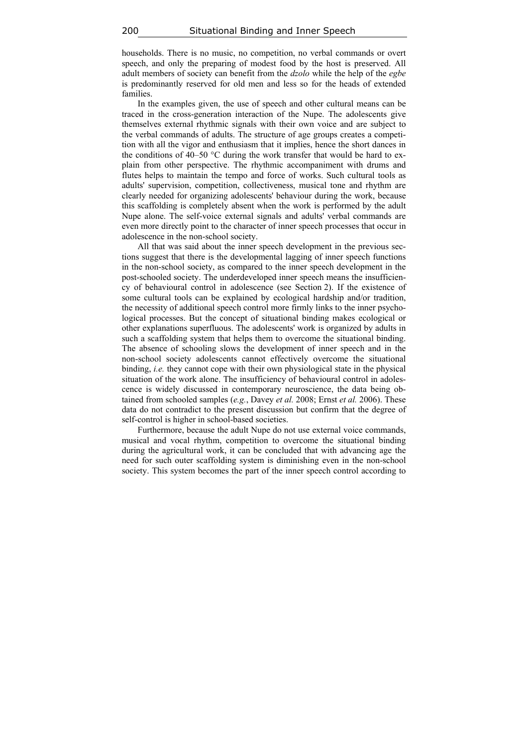households. There is no music, no competition, no verbal commands or overt speech, and only the preparing of modest food by the host is preserved. All adult members of society can benefit from the *dzolo* while the help of the *egbe* is predominantly reserved for old men and less so for the heads of extended families.

In the examples given, the use of speech and other cultural means can be traced in the cross-generation interaction of the Nupe. The adolescents give themselves external rhythmic signals with their own voice and are subject to the verbal commands of adults. The structure of age groups creates a competition with all the vigor and enthusiasm that it implies, hence the short dances in the conditions of 40–50  $\degree$ C during the work transfer that would be hard to explain from other perspective. The rhythmic accompaniment with drums and flutes helps to maintain the tempo and force of works. Such cultural tools as adults' supervision, competition, collectiveness, musical tone and rhythm are clearly needed for organizing adolescents' behaviour during the work, because this scaffolding is completely absent when the work is performed by the adult Nupe alone. The self-voice external signals and adults' verbal commands are even more directly point to the character of inner speech processes that occur in adolescence in the non-school society.

All that was said about the inner speech development in the previous sections suggest that there is the developmental lagging of inner speech functions in the non-school society, as compared to the inner speech development in the post-schooled society. The underdeveloped inner speech means the insufficiency of behavioural control in adolescence (see Section 2). If the existence of some cultural tools can be explained by ecological hardship and/or tradition, the necessity of additional speech control more firmly links to the inner psychological processes. But the concept of situational binding makes ecological or other explanations superfluous. The adolescents' work is organized by adults in such a scaffolding system that helps them to overcome the situational binding. The absence of schooling slows the development of inner speech and in the non-school society adolescents cannot effectively overcome the situational binding, *i.e.* they cannot cope with their own physiological state in the physical situation of the work alone. The insufficiency of behavioural control in adolescence is widely discussed in contemporary neuroscience, the data being obtained from schooled samples (*e.g.*, Davey *et al.* 2008; Ernst *et al.* 2006). These data do not contradict to the present discussion but confirm that the degree of self-control is higher in school-based societies.

Furthermore, because the adult Nupe do not use external voice commands, musical and vocal rhythm, competition to overcome the situational binding during the agricultural work, it can be concluded that with advancing age the need for such outer scaffolding system is diminishing even in the non-school society. This system becomes the part of the inner speech control according to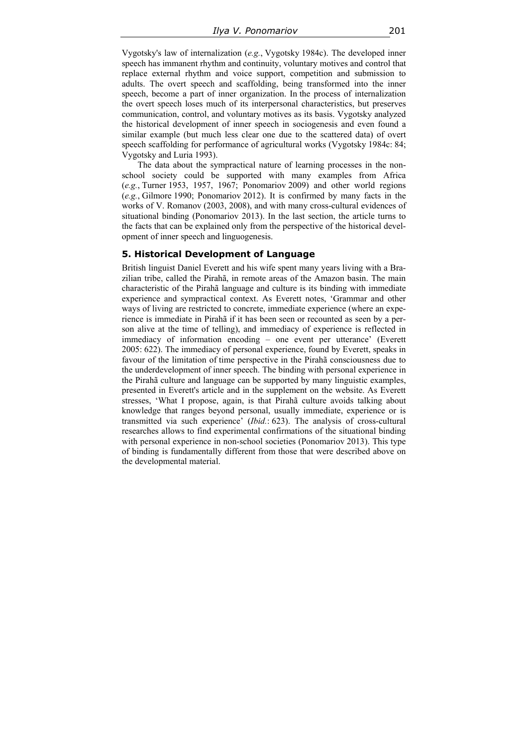Vygotsky's law of internalization (*e.g.*, Vygotsky 1984c). The developed inner speech has immanent rhythm and continuity, voluntary motives and control that replace external rhythm and voice support, competition and submission to adults. The overt speech and scaffolding, being transformed into the inner speech, become a part of inner organization. In the process of internalization the overt speech loses much of its interpersonal characteristics, but preserves communication, control, and voluntary motives as its basis. Vygotsky analyzed the historical development of inner speech in sociogenesis and even found a similar example (but much less clear one due to the scattered data) of overt speech scaffolding for performance of agricultural works (Vygotsky 1984c: 84; Vygotsky and Luria 1993).

The data about the sympractical nature of learning processes in the nonschool society could be supported with many examples from Africa (*e.g.*, Turner 1953, 1957, 1967; Ponomariov 2009) and other world regions (*e.g.*, Gilmore 1990; Ponomariov 2012). It is confirmed by many facts in the works of V. Romanov (2003, 2008), and with many cross-cultural evidences of situational binding (Ponomariov 2013). In the last section, the article turns to the facts that can be explained only from the perspective of the historical development of inner speech and linguogenesis.

#### **5. Historical Development of Language**

British linguist Daniel Everett and his wife spent many years living with a Brazilian tribe, called the Pirahã, in remote areas of the Amazon basin. The main characteristic of the Pirahã language and culture is its binding with immediate experience and sympractical context. As Everett notes, 'Grammar and other ways of living are restricted to concrete, immediate experience (where an experience is immediate in Pirahã if it has been seen or recounted as seen by a person alive at the time of telling), and immediacy of experience is reflected in immediacy of information encoding – one event per utterance' (Everett 2005: 622). The immediacy of personal experience, found by Everett, speaks in favour of the limitation of time perspective in the Pirahã consciousness due to the underdevelopment of inner speech. The binding with personal experience in the Pirahã culture and language can be supported by many linguistic examples, presented in Everett's article and in the supplement on the website. As Everett stresses, 'What I propose, again, is that Pirahã culture avoids talking about knowledge that ranges beyond personal, usually immediate, experience or is transmitted via such experience' (*Ibid.*: 623). The analysis of cross-cultural researches allows to find experimental confirmations of the situational binding with personal experience in non-school societies (Ponomariov 2013). This type of binding is fundamentally different from those that were described above on the developmental material.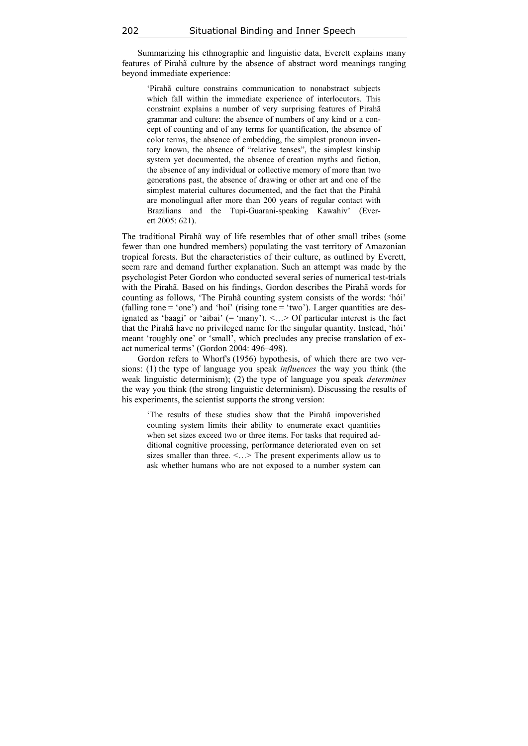Summarizing his ethnographic and linguistic data, Everett explains many features of Pirahã culture by the absence of abstract word meanings ranging beyond immediate experience:

'Pirahã culture constrains communication to nonabstract subjects which fall within the immediate experience of interlocutors. This constraint explains a number of very surprising features of Pirahã grammar and culture: the absence of numbers of any kind or a concept of counting and of any terms for quantification, the absence of color terms, the absence of embedding, the simplest pronoun inventory known, the absence of "relative tenses", the simplest kinship system yet documented, the absence of creation myths and fiction, the absence of any individual or collective memory of more than two generations past, the absence of drawing or other art and one of the simplest material cultures documented, and the fact that the Pirahã are monolingual after more than 200 years of regular contact with Brazilians and the Tupi-Guarani-speaking Kawahiv' (Everett 2005: 621).

The traditional Pirahã way of life resembles that of other small tribes (some fewer than one hundred members) populating the vast territory of Amazonian tropical forests. But the characteristics of their culture, as outlined by Everett, seem rare and demand further explanation. Such an attempt was made by the psychologist Peter Gordon who conducted several series of numerical test-trials with the Pirahã. Based on his findings, Gordon describes the Pirahã words for counting as follows, 'The Pirahã counting system consists of the words: 'hói' (falling tone  $=$  'one') and 'hoi' (rising tone  $=$  'two'). Larger quantities are designated as 'baagi' or 'aibai' (= 'many'). <…> Of particular interest is the fact that the Pirahã have no privileged name for the singular quantity. Instead, 'hói' meant 'roughly one' or 'small', which precludes any precise translation of exact numerical terms' (Gordon 2004: 496–498).

Gordon refers to Whorf's (1956) hypothesis, of which there are two versions: (1) the type of language you speak *influences* the way you think (the weak linguistic determinism); (2) the type of language you speak *determines* the way you think (the strong linguistic determinism). Discussing the results of his experiments, the scientist supports the strong version:

'The results of these studies show that the Pirahã impoverished counting system limits their ability to enumerate exact quantities when set sizes exceed two or three items. For tasks that required additional cognitive processing, performance deteriorated even on set sizes smaller than three.  $\leq$ ...> The present experiments allow us to ask whether humans who are not exposed to a number system can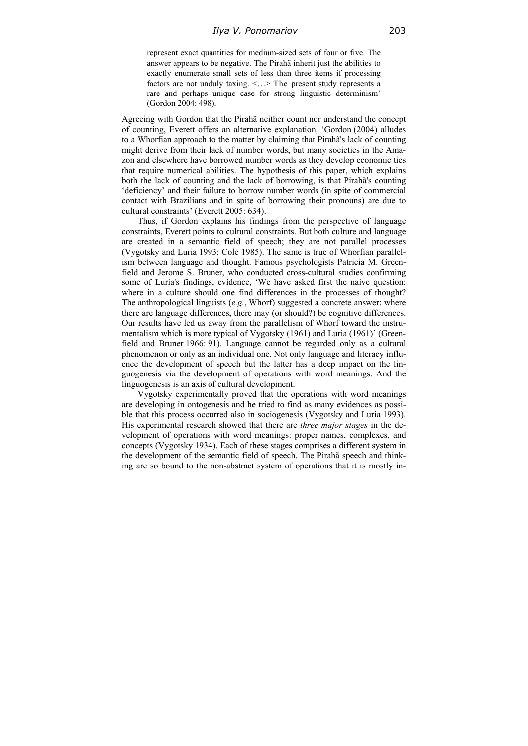represent exact quantities for medium-sized sets of four or five. The answer appears to be negative. The Pirahã inherit just the abilities to exactly enumerate small sets of less than three items if processing factors are not unduly taxing. <…> The present study represents a rare and perhaps unique case for strong linguistic determinism' (Gordon 2004: 498).

Agreeing with Gordon that the Pirahã neither count nor understand the concept of counting, Everett offers an alternative explanation, 'Gordon (2004) alludes to a Whorfian approach to the matter by claiming that Pirahã's lack of counting might derive from their lack of number words, but many societies in the Amazon and elsewhere have borrowed number words as they develop economic ties that require numerical abilities. The hypothesis of this paper, which explains both the lack of counting and the lack of borrowing, is that Pirahã's counting 'deficiency' and their failure to borrow number words (in spite of commercial contact with Brazilians and in spite of borrowing their pronouns) are due to cultural constraints' (Everett 2005: 634).

Thus, if Gordon explains his findings from the perspective of language constraints, Everett points to cultural constraints. But both culture and language are created in a semantic field of speech; they are not parallel processes (Vygotsky and Luria 1993; Cole 1985). The same is true of Whorfian parallelism between language and thought. Famous psychologists Patricia M. Greenfield and Jerome S. Bruner, who conducted cross-cultural studies confirming some of Luria's findings, evidence, 'We have asked first the naive question: where in a culture should one find differences in the processes of thought? The anthropological linguists (*e.g.*, Whorf) suggested a concrete answer: where there are language differences, there may (or should?) be cognitive differences. Our results have led us away from the parallelism of Whorf toward the instrumentalism which is more typical of Vygotsky (1961) and Luria (1961)' (Greenfield and Bruner 1966: 91). Language cannot be regarded only as a cultural phenomenon or only as an individual one. Not only language and literacy influence the development of speech but the latter has a deep impact on the linguogenesis via the development of operations with word meanings. And the linguogenesis is an axis of cultural development.

Vygotsky experimentally proved that the operations with word meanings are developing in ontogenesis and he tried to find as many evidences as possible that this process occurred also in sociogenesis (Vygotsky and Luria 1993). His experimental research showed that there are *three major stages* in the development of operations with word meanings: proper names, complexes, and concepts (Vygotsky 1934). Each of these stages comprises a different system in the development of the semantic field of speech. The Pirahã speech and thinking are so bound to the non-abstract system of operations that it is mostly in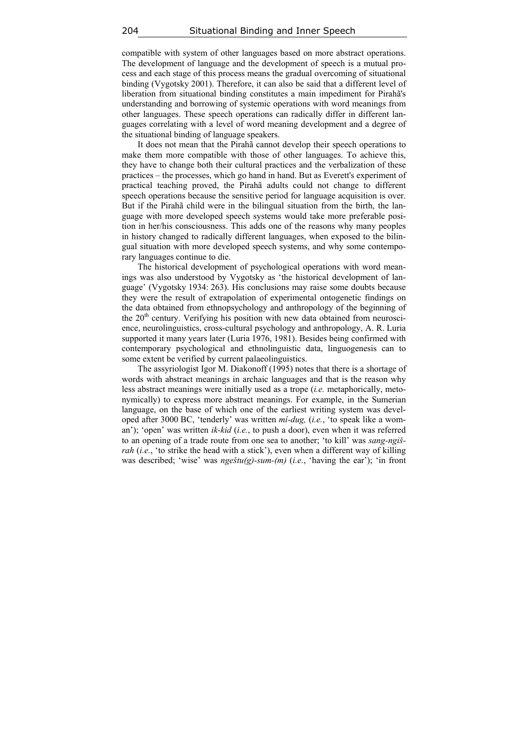compatible with system of other languages based on more abstract operations. The development of language and the development of speech is a mutual process and each stage of this process means the gradual overcoming of situational binding (Vygotsky 2001). Therefore, it can also be said that a different level of liberation from situational binding constitutes a main impediment for Pirahã's understanding and borrowing of systemic operations with word meanings from other languages. These speech operations can radically differ in different languages correlating with a level of word meaning development and a degree of the situational binding of language speakers.

It does not mean that the Pirahã cannot develop their speech operations to make them more compatible with those of other languages. To achieve this, they have to change both their cultural practices and the verbalization of these practices – the processes, which go hand in hand. But as Everett's experiment of practical teaching proved, the Pirahã adults could not change to different speech operations because the sensitive period for language acquisition is over. But if the Pirahã child were in the bilingual situation from the birth, the language with more developed speech systems would take more preferable position in her/his consciousness. This adds one of the reasons why many peoples in history changed to radically different languages, when exposed to the bilingual situation with more developed speech systems, and why some contemporary languages continue to die.

The historical development of psychological operations with word meanings was also understood by Vygotsky as 'the historical development of language' (Vygotsky 1934: 263). His conclusions may raise some doubts because they were the result of extrapolation of experimental ontogenetic findings on the data obtained from ethnopsychology and anthropology of the beginning of the  $20<sup>th</sup>$  century. Verifying his position with new data obtained from neuroscience, neurolinguistics, cross-cultural psychology and anthropology, A. R. Luria supported it many years later (Luria 1976, 1981). Besides being confirmed with contemporary psychological and ethnolinguistic data, linguogenesis can to some extent be verified by current palaeolinguistics.

The assyriologist Igor M. Diakonoff (1995) notes that there is a shortage of words with abstract meanings in archaic languages and that is the reason why less abstract meanings were initially used as a trope (*i.e.* metaphorically, metonymically) to express more abstract meanings. For example, in the Sumerian language, on the base of which one of the earliest writing system was developed after 3000 BC, 'tenderly' was written *mí-dug,* (*i.e.*, 'to speak like a woman'); 'open' was written *ik-kid* (*i.e.*, to push a door), even when it was referred to an opening of a trade route from one sea to another; 'to kill' was *sang-ngišrah* (*i.e.*, 'to strike the head with a stick'), even when a different way of killing was described; 'wise' was *ngeštu(g)-sum-(m)* (*i.e.*, 'having the ear'); 'in front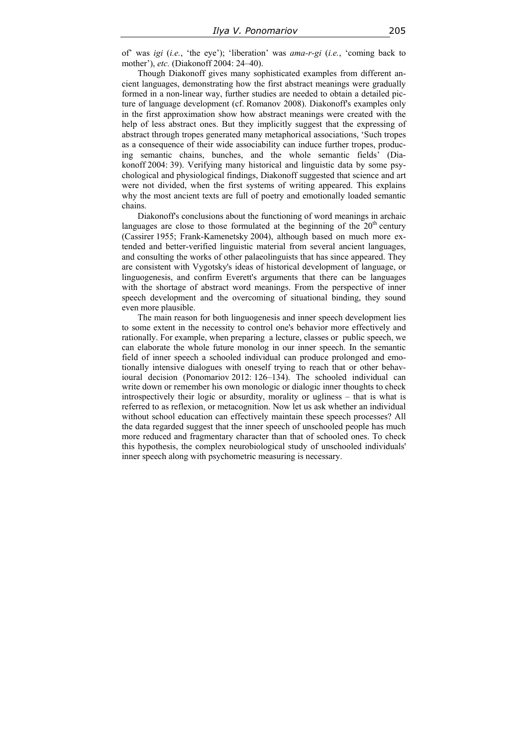of' was *igi* (*i.e.*, 'the eye'); 'liberation' was *ama-r-gi* (*i.e.*, 'coming back to mother'), *etc.* (Diakonoff 2004: 24–40).

Though Diakonoff gives many sophisticated examples from different ancient languages, demonstrating how the first abstract meanings were gradually formed in a non-linear way, further studies are needed to obtain a detailed picture of language development (cf. Romanov 2008). Diakonoff's examples only in the first approximation show how abstract meanings were created with the help of less abstract ones. But they implicitly suggest that the expressing of abstract through tropes generated many metaphorical associations, 'Such tropes as a consequence of their wide associability can induce further tropes, producing semantic chains, bunches, and the whole semantic fields' (Diakonoff 2004: 39). Verifying many historical and linguistic data by some psychological and physiological findings, Diakonoff suggested that science and art were not divided, when the first systems of writing appeared. This explains why the most ancient texts are full of poetry and emotionally loaded semantic chains.

Diakonoff's conclusions about the functioning of word meanings in archaic languages are close to those formulated at the beginning of the  $20<sup>th</sup>$  century (Cassirer 1955; Frank-Kamenetsky 2004), although based on much more extended and better-verified linguistic material from several ancient languages, and consulting the works of other palaeolinguists that has since appeared. They are consistent with Vygotsky's ideas of historical development of language, or linguogenesis, and confirm Everett's arguments that there can be languages with the shortage of abstract word meanings. From the perspective of inner speech development and the overcoming of situational binding, they sound even more plausible.

The main reason for both linguogenesis and inner speech development lies to some extent in the necessity to control one's behavior more effectively and rationally. For example, when preparing a lecture, classes or public speech, we can elaborate the whole future monolog in our inner speech. In the semantic field of inner speech a schooled individual can produce prolonged and emotionally intensive dialogues with oneself trying to reach that or other behavioural decision (Ponomariov 2012: 126–134). The schooled individual can write down or remember his own monologic or dialogic inner thoughts to check introspectively their logic or absurdity, morality or ugliness – that is what is referred to as reflexion, or metacognition. Now let us ask whether an individual without school education can effectively maintain these speech processes? All the data regarded suggest that the inner speech of unschooled people has much more reduced and fragmentary character than that of schooled ones. To check this hypothesis, the complex neurobiological study of unschooled individuals' inner speech along with psychometric measuring is necessary.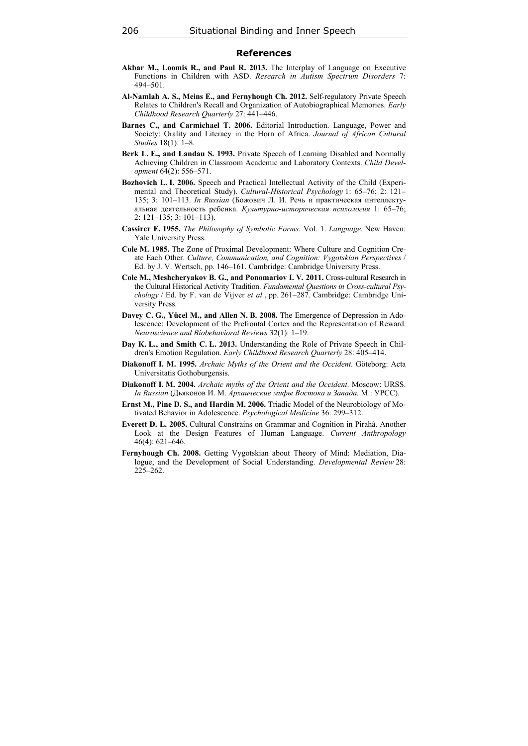#### **References**

- **Akbar M., Loomis R., and Paul R. 2013.** The Interplay of Language on Executive Functions in Children with ASD. *Research in Autism Spectrum Disorders* 7: 494–501.
- **Al-Namlah A. S., Meins E., and Fernyhough Ch. 2012.** Self-regulatory Private Speech Relates to Children's Recall and Organization of Autobiographical Memories. *Early Childhood Research Quarterly* 27: 441–446.
- **Barnes C., and Carmichael T. 2006.** Editorial Introduction. Language, Power and Society: Orality and Literacy in the Horn of Africa. *Journal of African Cultural Studies* 18(1): 1–8.
- **Berk L. E., and Landau S. 1993.** Private Speech of Learning Disabled and Normally Achieving Children in Classroom Academic and Laboratory Contexts. *Child Development* 64(2): 556–571.
- **Bozhovich L. I. 2006.** Speech and Practical Intellectual Activity of the Child (Experimental and Theoretical Study). *Cultural-Historical Psychology* 1: 65–76; 2: 121– 135; 3: 101–113. *In Russian* (Божович Л. И. Речь и практическая интеллектуальная деятельность ребенка. *Культурно-историческая психология* 1: 65–76; 2: 121–135; 3: 101–113).
- **Cassirer E. 1955.** *The Philosophy of Symbolic Forms.* Vol. 1. *Language.* New Haven: Yale University Press.
- **Cole M. 1985.** The Zone of Proximal Development: Where Culture and Cognition Create Each Other. *Culture, Communication, and Cognition: Vygotskian Perspectives* / Ed. by J. V. Wertsch, pp. 146–161. Cambridge: Cambridge University Press.
- **Cole М., Meshcheryakov B. G., and Ponomariov I. V***.* **2011.** Cross-cultural Research in the Cultural Historical Activity Tradition. *Fundamental Questions in Cross-cultural Psychology* / Ed. by F. van de Vijver *et al.*, pp. 261–287. Cambridge: Cambridge University Press.
- **Davey C. G., Yücel M., and Allen N. B. 2008.** The Emergence of Depression in Adolescence: Development of the Prefrontal Cortex and the Representation of Reward. *Neuroscience and Biobehavioral Reviews* 32(1): 1–19.
- **Day K. L., and Smith C. L. 2013.** Understanding the Role of Private Speech in Children's Emotion Regulation. *Early Childhood Research Quarterly* 28: 405–414.
- **Diakonoff I. M. 1995.** *Archaic Myths of the Orient and the Occident*. Göteborg: Acta Universitatis Gothoburgensis.
- **Diakonoff I. M. 2004.** *Archaic myths of the Orient and the Occident*. Moscow: URSS. *In Russian* (Дьяконов И. М. *Архаические мифы Востока и Запада.* М.: УРСС).
- **Ernst M., Pine D. S., and Hardin M. 2006.** Triadic Model of the Neurobiology of Motivated Behavior in Adolescence. *Psychological Medicine* 36: 299–312.
- **Everett D. L. 2005.** Cultural Constrains on Grammar and Cognition in Pirahã. Another Look at the Design Features of Human Language. *Current Anthropology*  46(4): 621–646.
- Fernyhough Ch. 2008. Getting Vygotskian about Theory of Mind: Mediation, Dialogue, and the Development of Social Understanding. *Developmental Review* 28: 225–262.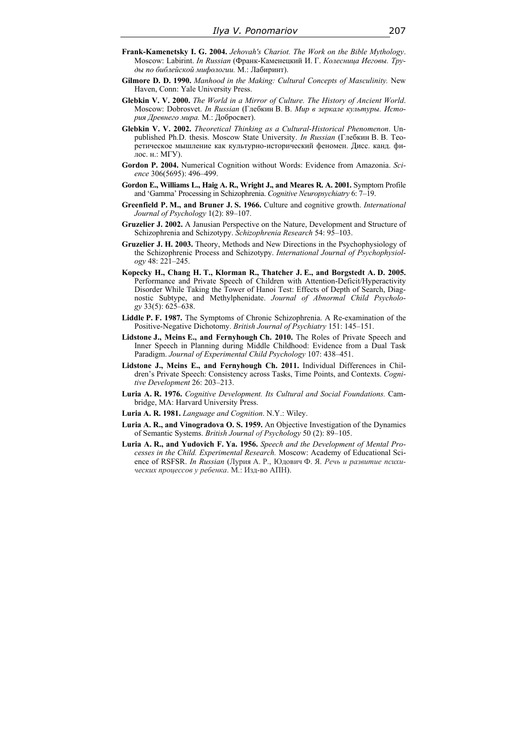- **Frank-Kamenetsky I. G. 2004.** *Jehovah's Chariot. The Work on the Bible Mythology*. Moscow: Labirint. *In Russian* (Франк-Каменецкий И. Г. *Колесница Иеговы. Труды по библейской мифологии.* М.: Лабиринт).
- **Gilmore D. D. 1990.** *Manhood in the Making: Cultural Concepts of Masculinity.* New Haven, Conn: Yale University Press.
- **Glebkin V. V. 2000.** *The World in a Mirror of Culture. The History of Ancient World*. Moscow: Dobrosvet. *In Russian* (Глебкин В. В. *Мир в зеркале культуры. История Древнего мира.* М.: Добросвет).
- **Glebkin V. V. 2002.** *Theoretical Thinking as a Cultural-Historical Phenomenon*. Unpublished Ph.D. thesis. Moscow State University. *In Russian* (Глебкин В. В. Теоретическое мышление как культурно-исторический феномен. Дисс. канд. филос. н.: МГУ).
- **Gordon P. 2004.** Numerical Cognition without Words: Evidence from Amazonia. *Science* 306(5695): 496–499.
- **Gordon E., Williams L., Haig A. R., Wright J., and Meares R. A. 2001.** Symptom Profile and 'Gamma' Processing in Schizophrenia. *Cognitive Neuropsychiatry* 6: 7–19.
- **Greenfield P. M., and Bruner J. S. 1966.** Culture and cognitive growth. *International Journal of Psychology* 1(2): 89–107.
- **Gruzelier J. 2002.** A Janusian Perspective on the Nature, Development and Structure of Schizophrenia and Schizotypy. *Schizophrenia Research* 54: 95–103.
- **Gruzelier J. H. 2003.** Theory, Methods and New Directions in the Psychophysiology of the Schizophrenic Process and Schizotypy. *International Journal of Psychophysiology* 48: 221–245.
- **Kopecky H., Chang H. T., Klorman R., Thatcher J. E., and Borgstedt A. D. 2005.**  Performance and Private Speech of Children with Attention-Deficit/Hyperactivity Disorder While Taking the Tower of Hanoi Test: Effects of Depth of Search, Diagnostic Subtype, and Methylphenidate. *Journal of Abnormal Child Psychology* 33(5): 625–638.
- **Liddle P. F. 1987.** The Symptoms of Chronic Schizophrenia. A Re-examination of the Positive-Negative Dichotomy. *British Journal of Psychiatry* 151: 145–151.
- **Lidstone J., Meins E., and Fernyhough Ch. 2010.** The Roles of Private Speech and Inner Speech in Planning during Middle Childhood: Evidence from a Dual Task Paradigm. *Journal of Experimental Child Psychology* 107: 438–451.
- **Lidstone J., Meins E., and Fernyhough Ch. 2011.** Individual Differences in Children's Private Speech: Consistency across Tasks, Time Points, and Contexts. *Cognitive Development* 26: 203–213.
- **Luria A. R. 1976.** *Cognitive Development. Its Cultural and Social Foundations.* Cambridge, MA: Harvard University Press.
- **Luria A. R. 1981.** *Language and Cognition*. N.Y.: Wiley.
- **Luria A. R., and Vinogradova O. S. 1959.** An Objective Investigation of the Dynamics of Semantic Systems. *British Journal of Psychology* 50 (2): 89–105.
- **Luria A. R., and Yudovich F. Ya. 1956.** *Speech and the Development of Mental Processes in the Child. Experimental Research.* Moscow: Academy of Educational Science of RSFSR. *In Russian* (Лурия А. Р., Юдович Ф. Я. *Речь и развитие психических процессов у ребенка*. М.: Изд-во АПН).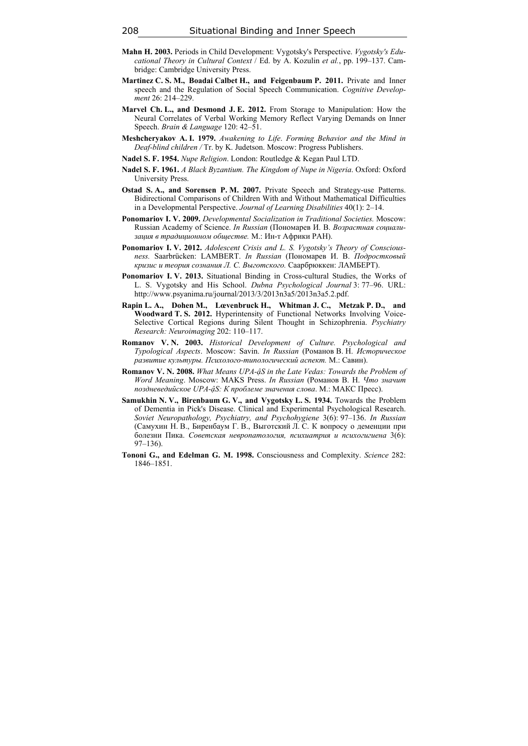- **Mahn H. 2003.** Periods in Child Development: Vygotsky's Perspective. *Vygotsky's Educational Theory in Cultural Context* / Ed. by A. Kozulin *et al.*, pp. 199–137. Cambridge: Cambridge University Press.
- **Martinez C. S. M., Boadai Calbet H., and Feigenbaum P. 2011.** Private and Inner speech and the Regulation of Social Speech Communication. *Cognitive Development* 26: 214–229.
- **Marvel Ch. L., and Desmond J. E. 2012.** From Storage to Manipulation: How the Neural Correlates of Verbal Working Memory Reflect Varying Demands on Inner Speech. *Brain & Language* 120: 42–51.
- **Meshcheryakov A. I. 1979.** *Awakening to Life*. *Forming Behavior and the Mind in Deaf-blind children /* Tr. by K. Judetson. Moscow: Progress Publishers.
- **Nadel S. F. 1954.** *Nupe Religion*. London: Routledge & Kegan Paul LTD.
- **Nadel S. F. 1961.** *A Black Byzantium. The Kingdom of Nupe in Nigeria*. Oxford: Oxford University Press.
- **Ostad S. A., and Sorensen P. M. 2007.** Private Speech and Strategy-use Patterns. Bidirectional Comparisons of Children With and Without Mathematical Difficulties in a Developmental Perspective. *Journal of Learning Disabilities* 40(1): 2–14.
- **Ponomariov I. V. 2009.** *Developmental Socialization in Traditional Societies.* Moscow: Russian Academy of Science. *In Russian* (Пономарев И. В. *Возрастная социализация в традиционном обществе.* М.: Ин-т Африки РАН).
- **Ponomariov I. V. 2012.** *Adolescent Crisis and L. S. Vygotsky's Theory of Consciousness.* Saarbrücken: LAMBERT. *In Russian* (Пономарев И. В. *Подростковый кризис и теория сознания Л. С. Выготского.* Саарбрюккен: ЛАМБЕРТ).
- **Ponomariov I. V. 2013.** Situational Binding in Cross-cultural Studies, the Works of L. S. Vygotsky and His School. *Dubna Psychological Journal* 3: 77–96. URL: http://www.psyanima.ru/journal/2013/3/2013n3a5/2013n3a5.2.pdf.
- **Rapin L. A., Dohen M., Lœvenbruck H., Whitman J. C., Metzak P. D., and Woodward T. S. 2012.** Hyperintensity of Functional Networks Involving Voice-Selective Cortical Regions during Silent Thought in Schizophrenia. *Psychiatry Research: Neuroimaging* 202: 110–117.
- **Romanov V. N. 2003.** *Historical Development of Culture. Psychological and Typological Aspects*. Moscow: Savin. *In Russian* (Романов В. Н. *Историческое развитие культуры. Психолого-типологический аспект.* М.: Савин).
- **Romanov V. N. 2008.** *What Means UPA-ậS in the Late Vedas: Towards the Problem of Word Meaning*. Moscow: MAKS Press. *In Russian* (Романов В. Н. *Что значит поздневедийское UPA-ậS: К проблеме значения слова*. М.: MАКС Пресс).
- Samukhin N. V., Birenbaum G. V., and Vygotsky L. S. 1934. Towards the Problem of Dementia in Pick's Disease. Clinical and Experimental Psychological Research. *Soviet Neuropathology, Psychiatry, and Psychohygiene* 3(6): 97–136. *In Russian* (Самухин Н. В., Биренбаум Г. В., Выготский Л. С. К вопросу о деменции при болезни Пика. *Советская невропатология, психиатрия и психогигиена* 3(6): 97–136).
- **Tononi G., and Edelman G. M. 1998.** Consciousness and Complexity. *Science* 282: 1846–1851.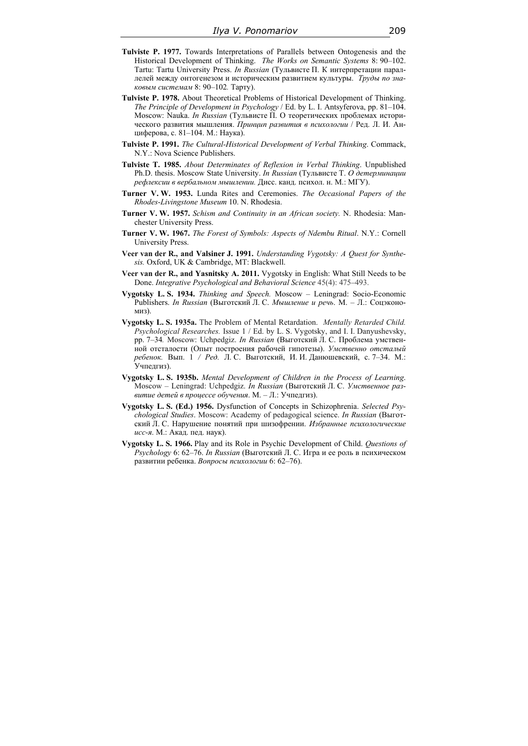- **Tulviste P. 1977.** Towards Interpretations of Parallels between Ontogenesis and the Historical Development of Thinking. *The Works on Semantic Systems* 8: 90–102. Tartu: Tartu University Press. *In Russian* (Тульвисте П. К интерпретации параллелей между онтогенезом и историческим развитием культуры. *Труды по знаковым системам* 8: 90–102*.* Тарту).
- **Tulviste P. 1978.** About Theoretical Problems of Historical Development of Thinking. *The Principle of Development in Psychology* / Ed. by L. I. Antsyferova, pp. 81–104. Moscow: Nauka. *In Russian* (Тульвисте П. О теоретических проблемах исторического развития мышления. *Принцип развития в психологии* / Ред. Л. И. Анциферова, с. 81–104. М.: Наука).
- **Tulviste P. 1991.** *The Сultural-Historical Development of Verbal Thinking*. Commack, N.Y.: Nova Science Publishers.
- **Tulviste T. 1985.** *About Determinates of Reflexion in Verbal Thinking*. Unpublished Ph.D. thesis. Moscow State University. *In Russian* (Тульвисте Т. *О детерминации рефлексии в вербальном мышлении.* Дисc. канд. психол. н. М.: МГУ).
- **Turner V. W. 1953.** Lunda Rites and Ceremonies. *The Occasional Papers of the Rhodes-Livingstone Museum* 10. N. Rhodesia.
- **Turner V. W. 1957.** *Schism and Continuity in an African society.* N. Rhodesia: Manchester University Press.
- **Turner V. W. 1967.** *The Forest of Symbols: Aspects of Ndembu Ritual*. N.Y.: Cornell University Press.
- **Veer van der R., and Valsiner J. 1991.** *Understanding Vygotsky: A Quest for Synthesis.* Oxford, UK & Cambridge, MT: Blackwell.
- **Veer van der R., and Yasnitsky A. 2011.** Vygotsky in English: What Still Needs to be Done. *Integrative Psychological and Behavioral Science* 45(4): 475–493.
- **Vygotsky L. S. 1934.** *Thinking and Speech.* Moscow Leningrad: Socio-Economic Publishers. *In Russian* (Выготский Л. С. *Мышление и речь*. М. – Л.: Соцэкономиз).
- **Vygotsky L. S. 1935a.** The Problem of Mental Retardation. *Mentally Retarded Child. Psychological Researches.* Issue 1 / Ed. by L. S. Vygotsky, and I. I. Danyushevsky, pp. 7–34*.* Moscow: Uchpedgiz. *In Russian* (Выготский Л. С. Проблема умственной отсталости (Опыт построения рабочей гипотезы). *Умственно отсталый ребенок.* Вып. 1 */ Ред.* Л. С. Выготский, И. И. Данюшевский, с. 7–34. М.: Учпедгиз).
- **Vygotsky L. S. 1935b.** *Mental Development of Children in the Process of Learning*. Moscow – Leningrad: Uchpedgiz. *In Russian* (Выготский Л. С. *Умственное развитие детей в процессе обучения*. М. – Л.: Учпедгиз).
- **Vygotsky L. S. (Ed.) 1956.** Dysfunction of Concepts in Schizophrenia. *Selected Psychological Studies*. Moscow: Academy of pedagogical science. *In Russian* (Выготский Л. С. Нарушение понятий при шизофрении. *Избранные психологические исс-я*. М.: Акад. пед. наук).
- **Vygotsky L. S. 1966.** Play and its Role in Psychic Development of Child. *Questions of Psychology* 6: 62–76. *In Russian* (Выготский Л. С. Игра и ее роль в психическом развитии ребенка. *Вопросы психологии* 6: 62–76).